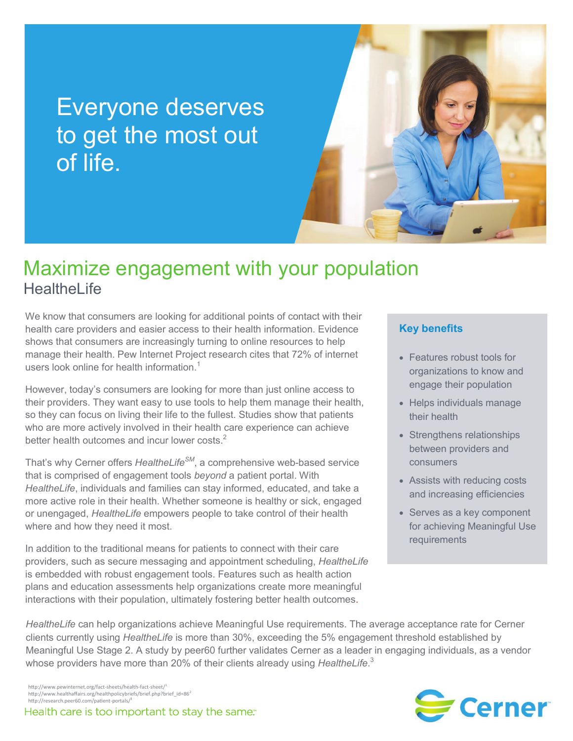# Everyone deserves to get the most out of life.



## Maximize engagement with your population **HealtheLife**

We know that consumers are looking for additional points of contact with their health care providers and easier access to their health information. Evidence shows that consumers are increasingly turning to online resources to help manage their health. Pew Internet Project research cites that 72% of internet users look online for health information.<sup>1</sup>

However, today's consumers are looking for more than just online access to their providers. They want easy to use tools to help them manage their health, so they can focus on living their life to the fullest. Studies show that patients who are more actively involved in their health care experience can achieve better health outcomes and incur lower costs.<sup>2</sup>

That's why Cerner offers *HealtheLifeSM*, a comprehensive web-based service that is comprised of engagement tools *beyond* a patient portal. With *HealtheLife*, individuals and families can stay informed, educated, and take a more active role in their health. Whether someone is healthy or sick, engaged or unengaged, *HealtheLife* empowers people to take control of their health where and how they need it most.

In addition to the traditional means for patients to connect with their care providers, such as secure messaging and appointment scheduling, *HealtheLife* is embedded with robust engagement tools. Features such as health action plans and education assessments help organizations create more meaningful interactions with their population, ultimately fostering better health outcomes.

#### **Key benefits**

- Features robust tools for organizations to know and engage their population
- Helps individuals manage their health
- Strengthens relationships between providers and consumers
- Assists with reducing costs and increasing efficiencies
- Serves as a key component for achieving Meaningful Use requirements

*HealtheLife* can help organizations achieve Meaningful Use requirements. The average acceptance rate for Cerner clients currently using *HealtheLife* is more than 30%, exceeding the 5% engagement threshold established by Meaningful Use Stage 2. A study by peer60 further validates Cerner as a leader in engaging individuals, as a vendor whose providers have more than 20% of their clients already using *HealtheLife*. 3



http://www.pewinternet.org/fact-sheets/health-fact-sheet/<sup>1</sup> http://www.healthaffairs.org/healthpolicybriefs/brief.php?brief\_id=86<sup>2</sup> http://research.peer60.com/patient-portals/<sup>3</sup>

Health care is too important to stay the same